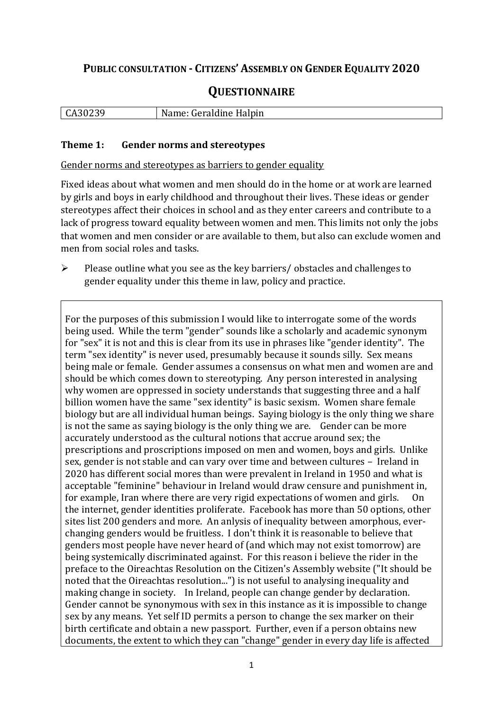## **PUBLIC CONSULTATION - CITIZENS' ASSEMBLY ON GENDER EQUALITY 2020**

# **QUESTIONNAIRE**

| .<br>--<br><b>UILU</b> |  | $\lfloor C \rfloor$ | Halpin<br>$\sim$<br>$-1 - - -$<br>N<br>raidine |
|------------------------|--|---------------------|------------------------------------------------|
|------------------------|--|---------------------|------------------------------------------------|

#### **Theme 1: Gender norms and stereotypes**

Gender norms and stereotypes as barriers to gender equality

Fixed ideas about what women and men should do in the home or at work are learned by girls and boys in early childhood and throughout their lives. These ideas or gender stereotypes affect their choices in school and as they enter careers and contribute to a lack of progress toward equality between women and men. This limits not only the jobs that women and men consider or are available to them, but also can exclude women and men from social roles and tasks.

➢ Please outline what you see as the key barriers/ obstacles and challenges to gender equality under this theme in law, policy and practice.

For the purposes of this submission I would like to interrogate some of the words being used. While the term "gender" sounds like a scholarly and academic synonym for "sex" it is not and this is clear from its use in phrases like "gender identity". The term "sex identity" is never used, presumably because it sounds silly. Sex means being male or female. Gender assumes a consensus on what men and women are and should be which comes down to stereotyping. Any person interested in analysing why women are oppressed in society understands that suggesting three and a half billion women have the same "sex identity" is basic sexism. Women share female biology but are all individual human beings. Saying biology is the only thing we share is not the same as saying biology is the only thing we are. Gender can be more accurately understood as the cultural notions that accrue around sex; the prescriptions and proscriptions imposed on men and women, boys and girls. Unlike sex, gender is not stable and can vary over time and between cultures – Ireland in 2020 has different social mores than were prevalent in Ireland in 1950 and what is acceptable "feminine" behaviour in Ireland would draw censure and punishment in, for example, Iran where there are very rigid expectations of women and girls. On the internet, gender identities proliferate. Facebook has more than 50 options, other sites list 200 genders and more. An anlysis of inequality between amorphous, everchanging genders would be fruitless. I don't think it is reasonable to believe that genders most people have never heard of (and which may not exist tomorrow) are being systemically discriminated against. For this reason i believe the rider in the preface to the Oireachtas Resolution on the Citizen's Assembly website ("It should be noted that the Oireachtas resolution...") is not useful to analysing inequality and making change in society. In Ireland, people can change gender by declaration. Gender cannot be synonymous with sex in this instance as it is impossible to change sex by any means. Yet self ID permits a person to change the sex marker on their birth certificate and obtain a new passport. Further, even if a person obtains new documents, the extent to which they can "change" gender in every day life is affected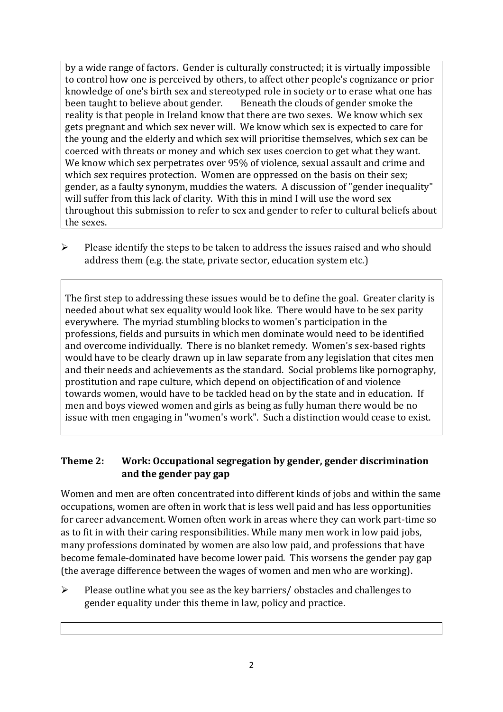by a wide range of factors. Gender is culturally constructed; it is virtually impossible to control how one is perceived by others, to affect other people's cognizance or prior knowledge of one's birth sex and stereotyped role in society or to erase what one has been taught to believe about gender. Beneath the clouds of gender smoke the reality is that people in Ireland know that there are two sexes. We know which sex gets pregnant and which sex never will. We know which sex is expected to care for the young and the elderly and which sex will prioritise themselves, which sex can be coerced with threats or money and which sex uses coercion to get what they want. We know which sex perpetrates over 95% of violence, sexual assault and crime and which sex requires protection. Women are oppressed on the basis on their sex; gender, as a faulty synonym, muddies the waters. A discussion of "gender inequality" will suffer from this lack of clarity. With this in mind I will use the word sex throughout this submission to refer to sex and gender to refer to cultural beliefs about the sexes.

➢ Please identify the steps to be taken to address the issues raised and who should address them (e.g. the state, private sector, education system etc.)

The first step to addressing these issues would be to define the goal. Greater clarity is needed about what sex equality would look like. There would have to be sex parity everywhere. The myriad stumbling blocks to women's participation in the professions, fields and pursuits in which men dominate would need to be identified and overcome individually. There is no blanket remedy. Women's sex-based rights would have to be clearly drawn up in law separate from any legislation that cites men and their needs and achievements as the standard. Social problems like pornography, prostitution and rape culture, which depend on objectification of and violence towards women, would have to be tackled head on by the state and in education. If men and boys viewed women and girls as being as fully human there would be no issue with men engaging in "women's work". Such a distinction would cease to exist.

### **Theme 2: Work: Occupational segregation by gender, gender discrimination and the gender pay gap**

Women and men are often concentrated into different kinds of jobs and within the same occupations, women are often in work that is less well paid and has less opportunities for career advancement. Women often work in areas where they can work part-time so as to fit in with their caring responsibilities. While many men work in low paid jobs, many professions dominated by women are also low paid, and professions that have become female-dominated have become lower paid. This worsens the gender pay gap (the average difference between the wages of women and men who are working).

 $\triangleright$  Please outline what you see as the key barriers/ obstacles and challenges to gender equality under this theme in law, policy and practice.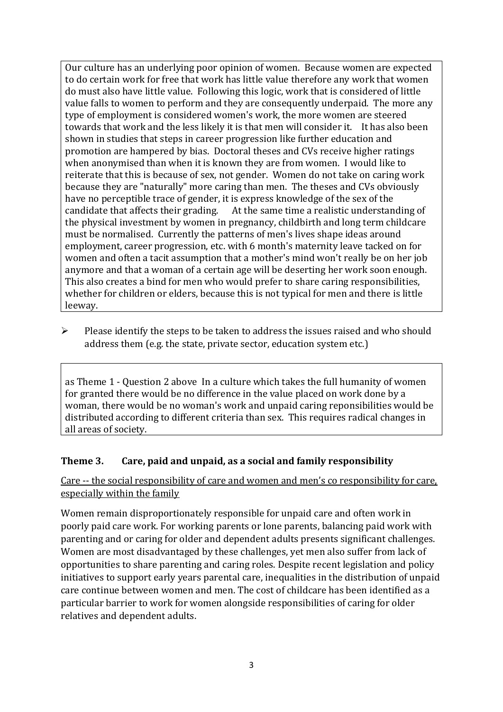Our culture has an underlying poor opinion of women. Because women are expected to do certain work for free that work has little value therefore any work that women do must also have little value. Following this logic, work that is considered of little value falls to women to perform and they are consequently underpaid. The more any type of employment is considered women's work, the more women are steered towards that work and the less likely it is that men will consider it. It has also been shown in studies that steps in career progression like further education and promotion are hampered by bias. Doctoral theses and CVs receive higher ratings when anonymised than when it is known they are from women. I would like to reiterate that this is because of sex, not gender. Women do not take on caring work because they are "naturally" more caring than men. The theses and CVs obviously have no perceptible trace of gender, it is express knowledge of the sex of the candidate that affects their grading. At the same time a realistic understanding of the physical investment by women in pregnancy, childbirth and long term childcare must be normalised. Currently the patterns of men's lives shape ideas around employment, career progression, etc. with 6 month's maternity leave tacked on for women and often a tacit assumption that a mother's mind won't really be on her job anymore and that a woman of a certain age will be deserting her work soon enough. This also creates a bind for men who would prefer to share caring responsibilities, whether for children or elders, because this is not typical for men and there is little leeway.

➢ Please identify the steps to be taken to address the issues raised and who should address them (e.g. the state, private sector, education system etc.)

as Theme 1 - Question 2 above In a culture which takes the full humanity of women for granted there would be no difference in the value placed on work done by a woman, there would be no woman's work and unpaid caring reponsibilities would be distributed according to different criteria than sex. This requires radical changes in all areas of society.

#### **Theme 3. Care, paid and unpaid, as a social and family responsibility**

Care -- the social responsibility of care and women and men's co responsibility for care, especially within the family

Women remain disproportionately responsible for unpaid care and often work in poorly paid care work. For working parents or [lone parents,](https://aran.library.nuigalway.ie/bitstream/handle/10379/6044/Millar_and_Crosse_Activation_Report.pdf?sequence=1&isAllowed=y) balancing paid work with parenting and or caring for older and dependent adults presents significant challenges. Women are [most disadvantaged by these challenges,](https://eige.europa.eu/gender-equality-index/game/IE/W) yet men also suffer from lack of opportunities to share parenting and caring roles. Despite recent legislation and policy initiatives to support early years parental care, [inequalities in the distribution of unpaid](https://www.ihrec.ie/app/uploads/2019/07/Caring-and-Unpaid-Work-in-Ireland_Final.pdf)  [care](https://www.ihrec.ie/app/uploads/2019/07/Caring-and-Unpaid-Work-in-Ireland_Final.pdf) continue between women and men. The cost of childcare has been identified as a particular barrier to work for women alongside responsibilities of caring for older relatives and dependent adults.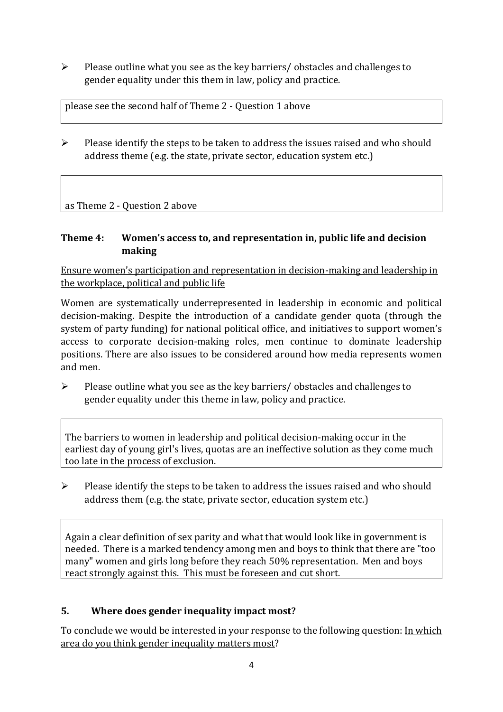➢ Please outline what you see as the key barriers/ obstacles and challenges to gender equality under this them in law, policy and practice.

please see the second half of Theme 2 - Question 1 above

➢ Please identify the steps to be taken to address the issues raised and who should address theme (e.g. the state, private sector, education system etc.)

as Theme 2 - Question 2 above

### **Theme 4: Women's access to, and representation in, public life and decision making**

Ensure women's participation and representation in decision-making and leadership in the workplace, political and public life

Women are systematically underrepresented in leadership in [economic](https://eige.europa.eu/gender-equality-index/2019/compare-countries/power/2/bar) and [political](https://eige.europa.eu/gender-equality-index/2019/compare-countries/power/1/bar)  [decision-](https://eige.europa.eu/gender-equality-index/2019/compare-countries/power/1/bar)making. Despite the introduction of a candidate gender quota (through the system of party funding) for national political office, and [initiatives](https://betterbalance.ie/) to support women's access to corporate decision-making roles, men continue to dominate leadership positions. There are also issues to be considered around how media represents women and men.

➢ Please outline what you see as the key barriers/ obstacles and challenges to gender equality under this theme in law, policy and practice.

The barriers to women in leadership and political decision-making occur in the earliest day of young girl's lives, quotas are an ineffective solution as they come much too late in the process of exclusion.

 $\triangleright$  Please identify the steps to be taken to address the issues raised and who should address them (e.g. the state, private sector, education system etc.)

Again a clear definition of sex parity and what that would look like in government is needed. There is a marked tendency among men and boys to think that there are "too many" women and girls long before they reach 50% representation. Men and boys react strongly against this. This must be foreseen and cut short.

## **5. Where does gender inequality impact most?**

To conclude we would be interested in your response to the following question: In which area do you think gender inequality matters most?